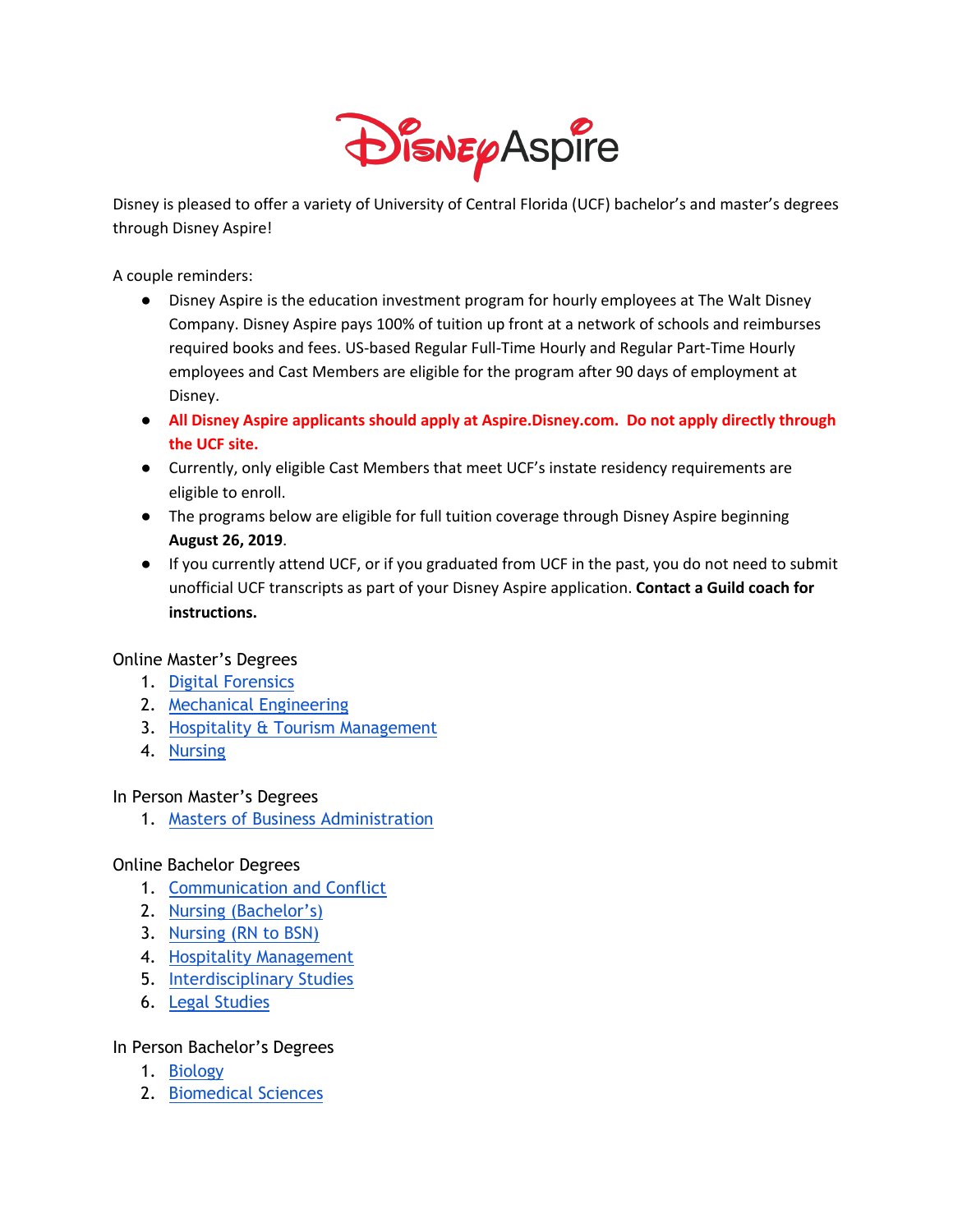

Disney is pleased to offer a variety of University of Central Florida (UCF) bachelor's and master's degrees through Disney Aspire!

A couple reminders:

- Disney Aspire is the education investment program for hourly employees at The Walt Disney Company. Disney Aspire pays 100% of tuition up front at a network of schools and reimburses required books and fees. US-based Regular Full-Time Hourly and Regular Part-Time Hourly employees and Cast Members are eligible for the program after 90 days of employment at Disney.
- **All Disney Aspire applicants should apply at Aspire.Disney.com. Do not apply directly through the UCF site.**
- Currently, only eligible Cast Members that meet UCF's instate residency requirements are eligible to enroll.
- The programs below are eligible for full tuition coverage through Disney Aspire beginning **August 26, 2019**.
- If you currently attend UCF, or if you graduated from UCF in the past, you do not need to submit unofficial UCF transcripts as part of your Disney Aspire application. **Contact a Guild coach for instructions.**

Online Master's Degrees

- 1. Digital Forensics
- 2. Mechanical Engineering
- 3. Hospitality & Tourism Management
- 4. Nursing

In Person Master's Degrees

1. Masters of Business Administration

## Online Bachelor Degrees

- 1. Communication and Conflict
- 2. Nursing (Bachelor's)
- 3. Nursing (RN to BSN)
- 4. Hospitality Management
- 5. Interdisciplinary Studies
- 6. Legal Studies

## In Person Bachelor's Degrees

- 1. Biology
- 2. Biomedical Sciences